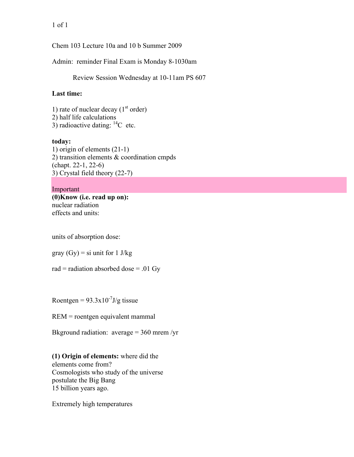Chem 103 Lecture 10a and 10 b Summer 2009

Admin: reminder Final Exam is Monday 8-1030am

Review Session Wednesday at 10-11am PS 607

# **Last time:**

1) rate of nuclear decay  $(1<sup>st</sup> order)$ 2) half life calculations 3) radioactive dating:  $^{14}$ C etc.

# **today:**

1) origin of elements (21-1) 2) transition elements & coordination cmpds (chapt. 22-1, 22-6) 3) Crystal field theory (22-7)

### Important

**(0)Know (i.e. read up on):** nuclear radiation effects and units:

units of absorption dose:

gray  $(Gy) = si$  unit for 1 J/kg

rad = radiation absorbed dose = .01 Gy

Roentgen =  $93.3 \times 10^{-7}$ J/g tissue

REM = roentgen equivalent mammal

Bkground radiation:  $average = 360$  mrem /yr

**(1) Origin of elements:** where did the elements come from? Cosmologists who study of the universe postulate the Big Bang 15 billion years ago.

Extremely high temperatures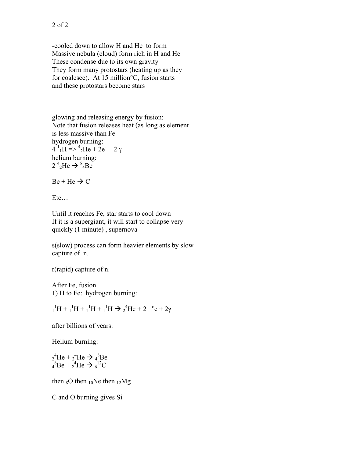-cooled down to allow H and He to form Massive nebula (cloud) form rich in H and He These condense due to its own gravity They form many protostars (heating up as they for coalesce). At 15 million°C, fusion starts and these protostars become stars

glowing and releasing energy by fusion: Note that fusion releases heat (as long as element is less massive than Fe hydrogen burning:  $4^{1}$ <sub>1</sub>H = >  $^{4}$ <sub>2</sub>He + 2e<sup>-</sup> + 2  $\gamma$ helium burning:  $2^{4}$ <sub>2</sub>He  $\rightarrow$   $^{8}$ <sub>4</sub>Be

 $Be + He \rightarrow C$ 

Etc…

Until it reaches Fe, star starts to cool down If it is a supergiant, it will start to collapse very quickly (1 minute) , supernova

s(slow) process can form heavier elements by slow capture of n.

r(rapid) capture of n.

After Fe, fusion 1) H to Fe: hydrogen burning:

 $1<sup>1</sup>H + 1<sup>1</sup>H + 1<sup>1</sup>H + 1<sup>1</sup>H \rightarrow 2<sup>4</sup>He + 2<sup>1</sup>°e + 2γ$ 

after billions of years:

Helium burning:

 $_{2}^{4}$ He +  $_{2}^{4}$ He  $\rightarrow$   $_{4}^{8}$ Be  $_4{}^8$ Be +  $_2{}^4$ He  $\rightarrow$   $_6{}^{12}$ C

then  $80$  then  $10$ Ne then  $12$ Mg

C and O burning gives Si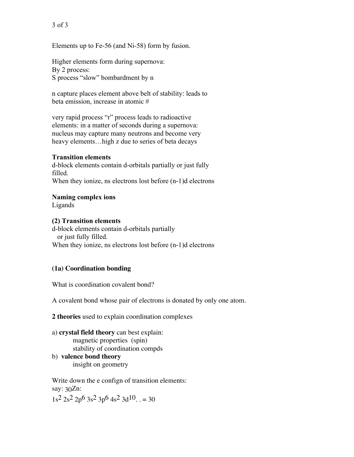Elements up to Fe-56 (and Ni-58) form by fusion.

Higher elements form during supernova: By 2 process: S process "slow" bombardment by n

n capture places element above belt of stability: leads to beta emission, increase in atomic #

very rapid process "r" process leads to radioactive elements: in a matter of seconds during a supernova: nucleus may capture many neutrons and become very heavy elements…high z due to series of beta decays

### **Transition elements**

d-block elements contain d-orbitals partially or just fully filled. When they ionize, ns electrons lost before (n-1)d electrons

### **Naming complex ions**

Ligands

### **(2) Transition elements**

d-block elements contain d-orbitals partially or just fully filled. When they ionize, ns electrons lost before (n-1)d electrons

### **(1a) Coordination bonding**

What is coordination covalent bond?

A covalent bond whose pair of electrons is donated by only one atom.

**2 theories** used to explain coordination complexes

- a) **crystal field theory** can best explain: magnetic properties (spin) stability of coordination compds
- b) **valence bond theory** insight on geometry

Write down the e confign of transition elements: say: 30Zn:  $1s^2$   $2s^2$   $2p^6$   $3s^2$   $3p^6$   $4s^2$   $3d^{10}$ . . = 30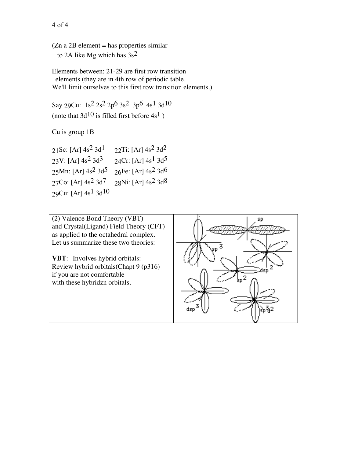(Zn a 2B element = has properties similar to 2A like Mg which has 3s2

Elements between: 21-29 are first row transition elements (they are in 4th row of periodic table. We'll limit ourselves to this first row transition elements.)

Say 29Cu: 1s2 2s2 2p6 3s2 3p6 4s1 3d10 (note that  $3d^{10}$  is filled first before  $4s^1$ )

Cu is group 1B

| 21Sc: [Ar] $4s^2$ 3d <sup>1</sup>   | 22Ti: [Ar] $4s^2$ 3d <sup>2</sup>    |
|-------------------------------------|--------------------------------------|
| $23V$ : [Ar] $4s^2$ 3d <sup>3</sup> | 24Cr: [Ar] $4s^1$ $3d^5$             |
| 25Mn: [Ar] $4s^2$ 3d <sup>5</sup>   | $26Fe$ : [Ar] $4s^2$ 3d <sup>6</sup> |
| 27Co: [Ar] $4s^2$ 3d <sup>7</sup>   | 28Ni: [Ar] $4s^2$ 3d <sup>8</sup>    |
| 29Cu: [Ar] $4s^1$ 3d <sup>10</sup>  |                                      |

(2) Valence Bond Theory (VBT) and Crystal(Ligand) Field Theory (CFT) as applied to the octahedral complex. Let us summarize these two theories:

**VBT**: Involves hybrid orbitals: Review hybrid orbitals(Chapt 9 (p316) if you are not comfortable with these hybridzn orbitals.

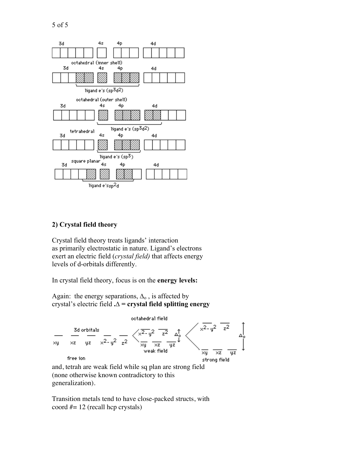

#### **2) Crystal field theory**

Crystal field theory treats ligands' interaction as primarily electrostatic in nature. Ligand's electrons exert an electric field (*crystal field)* that affects energy levels of d-orbitals differently.

In crystal field theory, focus is on the **energy levels:**

Again: the energy separations,  $\Delta_0$ , is affected by crystal's electric field **.∆ = crystal field splitting energy**



generalization).

Transition metals tend to have close-packed structs, with coord #= 12 (recall hcp crystals)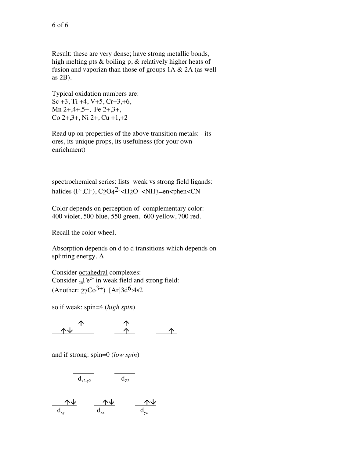Result: these are very dense; have strong metallic bonds, high melting pts & boiling p, & relatively higher heats of fusion and vaporizn than those of groups  $1A \& 2A$  (as well as 2B).

Typical oxidation numbers are: Sc  $+3$ , Ti  $+4$ , V $+5$ , Cr $+3$ ,  $+6$ , Mn  $2+3+3+$ , Fe  $2+3+$ ,  $Co$  2+,  $3+$ , Ni 2+,  $Cu$  +1, +2

Read up on properties of the above transition metals: - its ores, its unique props, its usefulness (for your own enrichment)

spectrochemical series: lists weak vs strong field ligands: halides (F-Cl-),  $C_2O_4^2$ - $CH_2O$  <NH3=en<phen<CN

Color depends on perception of complementary color: 400 violet, 500 blue, 550 green, 600 yellow, 700 red.

Recall the color wheel.

Absorption depends on d to d transitions which depends on splitting energy, ∆

Consider octahedral complexes: Consider  ${}_{26}Fe^{2+}$  in weak field and strong field:  $(Another: 27Co<sup>3+</sup>)$   $[Ar]3d<sup>6</sup>:4s<sup>2</sup>$ 

so if weak: spin=4 (*high spin*)

 $\uparrow$   $\uparrow$ 

and if strong: spin=0 (*low spin*)

$$
\overline{d_{x2-y2}} \qquad \overline{d_{Z2}}
$$

  $d_{xy}$   $d_{xz}$   $d_{yz}$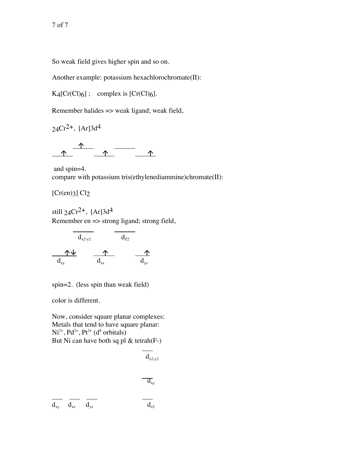So weak field gives higher spin and so on.

Another example: potassium hexachlorochromate(II):

 $K4[Cr(Cl)6]$ ; complex is  $[Cr(Cl)6]$ .

Remember halides => weak ligand; weak field,

 $24Cr^{2+}$ , [Ar]3d<sup>4</sup>



 and spin=4. compare with potassium tris(ethylenediammine)chromate(II):

 $[Cr(en)3] Cl<sub>2</sub>$ 

still  $24Cr^{2+}$ , [Ar]3d<sup>4</sup> Remember en => strong ligand; strong field,

$$
\begin{array}{c|c}\n\hline\n d_{x2-y2} & d_{z2} \\
\hline\n d_{xy} & d_{xz} & d_{yz}\n\end{array}
$$

spin=2. (less spin than weak field)

color is different.

Now, consider square planar complexes: Metals that tend to have square planar:  $Ni<sup>2+</sup>, Pd<sup>2+</sup>, Pt<sup>2+</sup> (d<sup>8</sup> orbitals)$ But Ni can have both sq pl  $&$  tetrah(F-)

$$
\begin{array}{ccccc}\n d_{x2-y2} & & & \\
 & & & \overline{d_{xy}} & \\
 \hline\n & d_{xy} & & \\
 \hline\n & d_{xz} & & d_{yz} & \\
 \end{array}
$$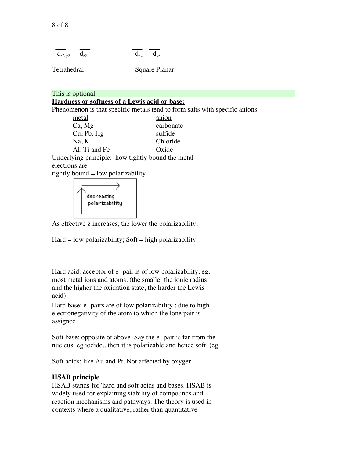$$
\overline{d_{x2-y2}} \quad \overline{d_{z2}} \qquad \overline{d_{xz}}
$$

Tetrahedral Square Planar

This is optional

# **Hardness or softness of a Lewis acid or base:**

Phenomenon is that specific metals tend to form salts with specific anions:

| metal         | anion                                        |
|---------------|----------------------------------------------|
| Ca, Mg        | carbonate                                    |
| Cu, Pb, Hg    | sulfide                                      |
| Na, K         | Chloride                                     |
| Al, Ti and Fe | Oxide                                        |
|               | derlying principle: how tightly bound the me |

Underlying principle: how tightly bound the metal electrons are:

tightly bound  $=$  low polarizability



As effective z increases, the lower the polarizability.

 $Hard = low polarizability$ ; Soft = high polarizability

Hard acid: acceptor of e- pair is of low polarizability. eg. most metal ions and atoms. (the smaller the ionic radius and the higher the oxidation state, the harder the Lewis acid).

Hard base:  $e^-$  pairs are of low polarizability; due to high electronegativity of the atom to which the lone pair is assigned.

Soft base: opposite of above. Say the e- pair is far from the nucleus: eg iodide., then it is polarizable and hence soft. (eg

Soft acids: like Au and Pt. Not affected by oxygen.

#### **HSAB principle**

HSAB stands for 'hard and soft acids and bases. HSAB is widely used for explaining stability of compounds and reaction mechanisms and pathways. The theory is used in contexts where a qualitative, rather than quantitative